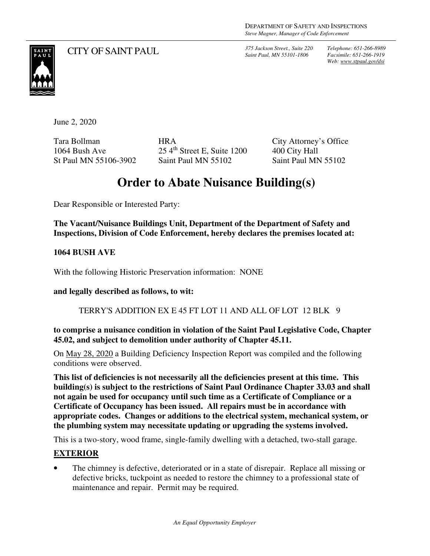*Saint Paul, MN 55101-1806*

*Telephone: 651-266-8989 Facsimile: 651-266-1919 Web: www.stpaul.gov/dsi*



CITY OF SAINT PAUL *375 Jackson Street., Suite 220* 

June 2, 2020

Tara Bollman 1064 Bush Ave St Paul MN 55106-3902 HRA 25 4th Street E, Suite 1200 Saint Paul MN 55102

City Attorney's Office 400 City Hall Saint Paul MN 55102

## **Order to Abate Nuisance Building(s)**

Dear Responsible or Interested Party:

**The Vacant/Nuisance Buildings Unit, Department of the Department of Safety and Inspections, Division of Code Enforcement, hereby declares the premises located at:** 

**1064 BUSH AVE** 

With the following Historic Preservation information: NONE

**and legally described as follows, to wit:** 

TERRY'S ADDITION EX E 45 FT LOT 11 AND ALL OF LOT 12 BLK 9

**to comprise a nuisance condition in violation of the Saint Paul Legislative Code, Chapter 45.02, and subject to demolition under authority of Chapter 45.11.** 

On May 28, 2020 a Building Deficiency Inspection Report was compiled and the following conditions were observed.

**This list of deficiencies is not necessarily all the deficiencies present at this time. This building(s) is subject to the restrictions of Saint Paul Ordinance Chapter 33.03 and shall not again be used for occupancy until such time as a Certificate of Compliance or a Certificate of Occupancy has been issued. All repairs must be in accordance with appropriate codes. Changes or additions to the electrical system, mechanical system, or the plumbing system may necessitate updating or upgrading the systems involved.** 

This is a two-story, wood frame, single-family dwelling with a detached, two-stall garage.

## **EXTERIOR**

• The chimney is defective, deteriorated or in a state of disrepair. Replace all missing or defective bricks, tuckpoint as needed to restore the chimney to a professional state of maintenance and repair. Permit may be required.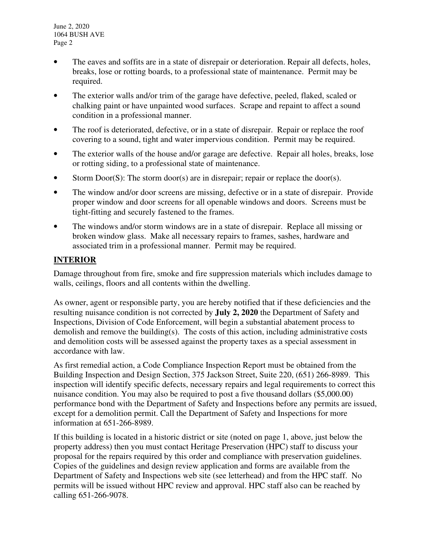June 2, 2020 1064 BUSH AVE Page 2

- The eaves and soffits are in a state of disrepair or deterioration. Repair all defects, holes, breaks, lose or rotting boards, to a professional state of maintenance. Permit may be required.
- The exterior walls and/or trim of the garage have defective, peeled, flaked, scaled or chalking paint or have unpainted wood surfaces. Scrape and repaint to affect a sound condition in a professional manner.
- The roof is deteriorated, defective, or in a state of disrepair. Repair or replace the roof covering to a sound, tight and water impervious condition. Permit may be required.
- The exterior walls of the house and/or garage are defective. Repair all holes, breaks, lose or rotting siding, to a professional state of maintenance.
- Storm Door(S): The storm door(s) are in disrepair; repair or replace the door(s).
- The window and/or door screens are missing, defective or in a state of disrepair. Provide proper window and door screens for all openable windows and doors. Screens must be tight-fitting and securely fastened to the frames.
- The windows and/or storm windows are in a state of disrepair. Replace all missing or broken window glass. Make all necessary repairs to frames, sashes, hardware and associated trim in a professional manner. Permit may be required.

## **INTERIOR**

Damage throughout from fire, smoke and fire suppression materials which includes damage to walls, ceilings, floors and all contents within the dwelling.

As owner, agent or responsible party, you are hereby notified that if these deficiencies and the resulting nuisance condition is not corrected by **July 2, 2020** the Department of Safety and Inspections, Division of Code Enforcement, will begin a substantial abatement process to demolish and remove the building(s). The costs of this action, including administrative costs and demolition costs will be assessed against the property taxes as a special assessment in accordance with law.

As first remedial action, a Code Compliance Inspection Report must be obtained from the Building Inspection and Design Section, 375 Jackson Street, Suite 220, (651) 266-8989. This inspection will identify specific defects, necessary repairs and legal requirements to correct this nuisance condition. You may also be required to post a five thousand dollars (\$5,000.00) performance bond with the Department of Safety and Inspections before any permits are issued, except for a demolition permit. Call the Department of Safety and Inspections for more information at 651-266-8989.

If this building is located in a historic district or site (noted on page 1, above, just below the property address) then you must contact Heritage Preservation (HPC) staff to discuss your proposal for the repairs required by this order and compliance with preservation guidelines. Copies of the guidelines and design review application and forms are available from the Department of Safety and Inspections web site (see letterhead) and from the HPC staff. No permits will be issued without HPC review and approval. HPC staff also can be reached by calling 651-266-9078.